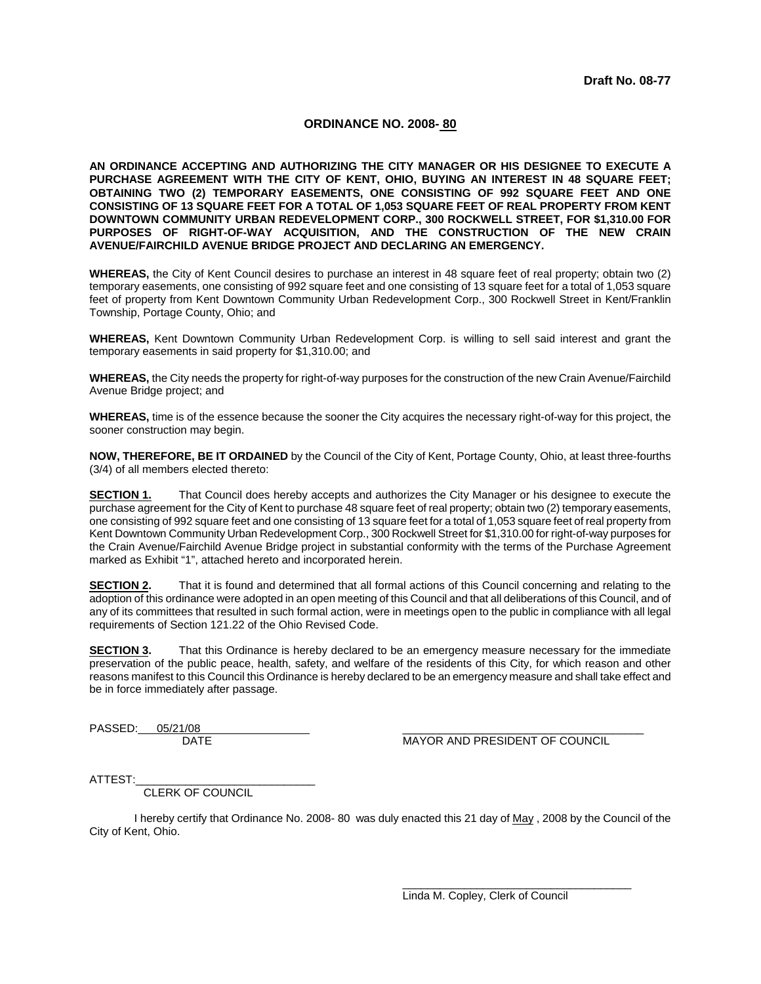### **ORDINANCE NO. 2008- 80**

**AN ORDINANCE ACCEPTING AND AUTHORIZING THE CITY MANAGER OR HIS DESIGNEE TO EXECUTE A PURCHASE AGREEMENT WITH THE CITY OF KENT, OHIO, BUYING AN INTEREST IN 48 SQUARE FEET; OBTAINING TWO (2) TEMPORARY EASEMENTS, ONE CONSISTING OF 992 SQUARE FEET AND ONE CONSISTING OF 13 SQUARE FEET FOR A TOTAL OF 1,053 SQUARE FEET OF REAL PROPERTY FROM KENT DOWNTOWN COMMUNITY URBAN REDEVELOPMENT CORP., 300 ROCKWELL STREET, FOR \$1,310.00 FOR PURPOSES OF RIGHT-OF-WAY ACQUISITION, AND THE CONSTRUCTION OF THE NEW CRAIN AVENUE/FAIRCHILD AVENUE BRIDGE PROJECT AND DECLARING AN EMERGENCY.** 

**WHEREAS,** the City of Kent Council desires to purchase an interest in 48 square feet of real property; obtain two (2) temporary easements, one consisting of 992 square feet and one consisting of 13 square feet for a total of 1,053 square feet of property from Kent Downtown Community Urban Redevelopment Corp., 300 Rockwell Street in Kent/Franklin Township, Portage County, Ohio; and

**WHEREAS,** Kent Downtown Community Urban Redevelopment Corp. is willing to sell said interest and grant the temporary easements in said property for \$1,310.00; and

**WHEREAS,** the City needs the property for right-of-way purposes for the construction of the new Crain Avenue/Fairchild Avenue Bridge project; and

**WHEREAS,** time is of the essence because the sooner the City acquires the necessary right-of-way for this project, the sooner construction may begin.

**NOW, THEREFORE, BE IT ORDAINED** by the Council of the City of Kent, Portage County, Ohio, at least three-fourths (3/4) of all members elected thereto:

**SECTION 1.** That Council does hereby accepts and authorizes the City Manager or his designee to execute the purchase agreement for the City of Kent to purchase 48 square feet of real property; obtain two (2) temporary easements, one consisting of 992 square feet and one consisting of 13 square feet for a total of 1,053 square feet of real property from Kent Downtown Community Urban Redevelopment Corp., 300 Rockwell Street for \$1,310.00 for right-of-way purposes for the Crain Avenue/Fairchild Avenue Bridge project in substantial conformity with the terms of the Purchase Agreement marked as Exhibit "1", attached hereto and incorporated herein.

**SECTION 2.** That it is found and determined that all formal actions of this Council concerning and relating to the adoption of this ordinance were adopted in an open meeting of this Council and that all deliberations of this Council, and of any of its committees that resulted in such formal action, were in meetings open to the public in compliance with all legal requirements of Section 121.22 of the Ohio Revised Code.

**SECTION 3.** That this Ordinance is hereby declared to be an emergency measure necessary for the immediate preservation of the public peace, health, safety, and welfare of the residents of this City, for which reason and other reasons manifest to this Council this Ordinance is hereby declared to be an emergency measure and shall take effect and be in force immediately after passage.

PASSED: 05/21/08

DATE **DATE** MAYOR AND PRESIDENT OF COUNCIL

ATTEST:

CLERK OF COUNCIL

I hereby certify that Ordinance No. 2008- 80 was duly enacted this 21 day of May, 2008 by the Council of the City of Kent, Ohio.

Linda M. Copley, Clerk of Council

 $\overline{\phantom{a}}$  ,  $\overline{\phantom{a}}$  ,  $\overline{\phantom{a}}$  ,  $\overline{\phantom{a}}$  ,  $\overline{\phantom{a}}$  ,  $\overline{\phantom{a}}$  ,  $\overline{\phantom{a}}$  ,  $\overline{\phantom{a}}$  ,  $\overline{\phantom{a}}$  ,  $\overline{\phantom{a}}$  ,  $\overline{\phantom{a}}$  ,  $\overline{\phantom{a}}$  ,  $\overline{\phantom{a}}$  ,  $\overline{\phantom{a}}$  ,  $\overline{\phantom{a}}$  ,  $\overline{\phantom{a}}$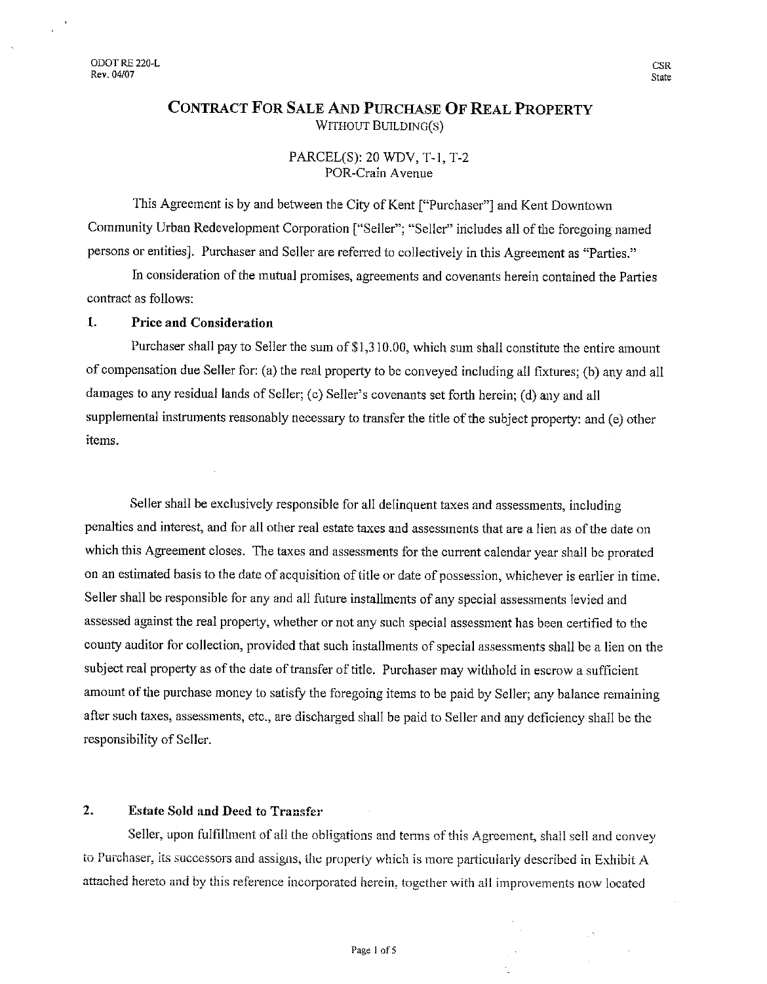# **CONTRACT FOR SALE AND PURCHASE OF REAL PROPERTY** WITHOUT BUILDING(S)

PARCEL(S): 20 WDV, T-1, T-2 POR-Crain Avenue

This Agreement is by and between the City of Kent ["Purchaser"] and Kent Downtown Community Urban Redevelopment Corporation ["Seller"; "Seller" includes all of the foregoing named persons or entities]. Purchaser and Seller are referred to collectively in this Agreement as "Parties."

In consideration of the mutual promises, agreements and covenants herein contained the Parties contract as follows:

#### 1. **Price and Consideration**

Purchaser shall pay to Seller the sum of \$1,310.00, which sum shall constitute the entire amount of compensation due Seller for: (a) the real property to be conveyed including all fixtures; (b) any and all damages to any residual lands of Seller; (c) Seller's covenants set forth herein; (d) any and all supplemental instruments reasonably necessary to transfer the title of the subject property: and (e) other items.

Seller shall be exclusively responsible for all delinquent taxes and assessments, including penalties and interest, and for all other real estate taxes and assessments that are a lien as of the date on which this Agreement closes. The taxes and assessments for the current calendar year shall be prorated on an estimated basis to the date of acquisition of title or date of possession, whichever is earlier in time. Seller shall be responsible for any and all future installments of any special assessments levied and assessed against the real property, whether or not any such special assessment has been certified to the county auditor for collection, provided that such installments of special assessments shall be a lien on the subject real property as of the date of transfer of title. Purchaser may withhold in escrow a sufficient amount of the purchase money to satisfy the foregoing items to be paid by Seller; any balance remaining after such taxes, assessments, etc., are discharged shall be paid to Seller and any deficiency shall be the responsibility of Seller.

#### $2.$ **Estate Sold and Deed to Transfer**

Seller, upon fulfillment of all the obligations and terms of this Agreement, shall sell and convey to Purchaser, its successors and assigns, the property which is more particularly described in Exhibit A attached hereto and by this reference incorporated herein, together with all improvements now located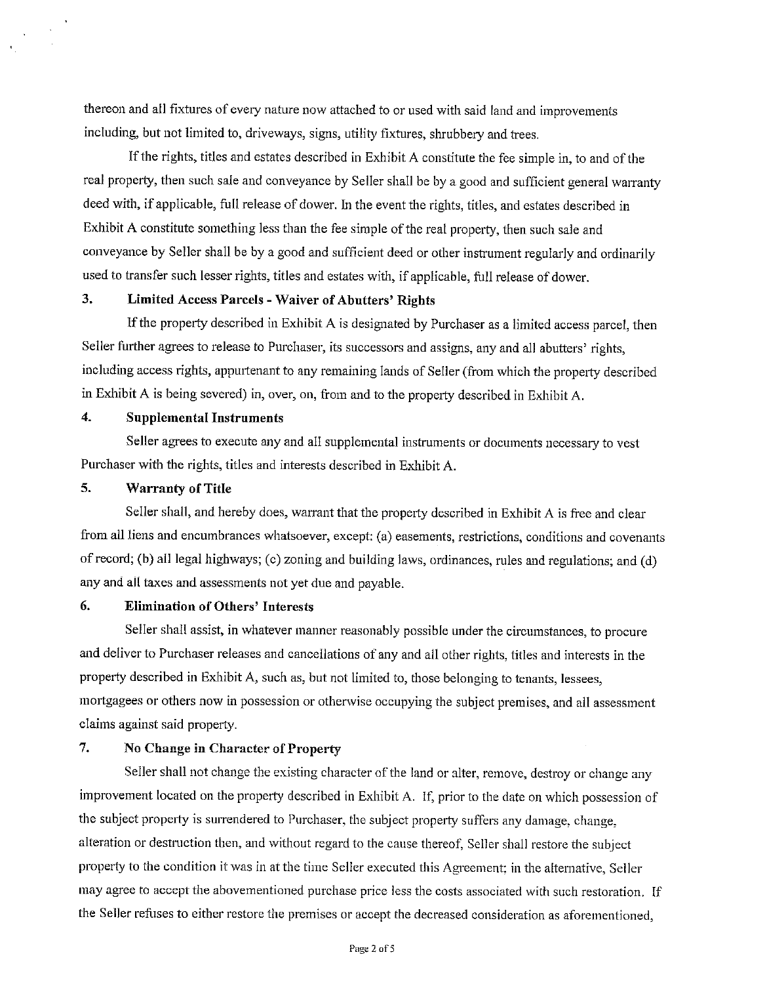thereon and all fixtures of every nature now attached to or used with said land and improvements including, but not limited to, driveways, signs, utility fixtures, shrubbery and trees.

If the rights, titles and estates described in Exhibit A constitute the fee simple in, to and of the real property, then such sale and conveyance by Seller shall be by a good and sufficient general warranty deed with, if applicable, full release of dower. In the event the rights, titles, and estates described in Exhibit A constitute something less than the fee simple of the real property, then such sale and conveyance by Seller shall be by a good and sufficient deed or other instrument regularly and ordinarily used to transfer such lesser rights, titles and estates with, if applicable, full release of dower.

#### 3. Limited Access Parcels - Waiver of Abutters' Rights

If the property described in Exhibit A is designated by Purchaser as a limited access parcel, then Seller further agrees to release to Purchaser, its successors and assigns, any and all abutters' rights, including access rights, appurtenant to any remaining lands of Seller (from which the property described in Exhibit A is being severed) in, over, on, from and to the property described in Exhibit A.

#### $\boldsymbol{4}$ . **Supplemental Instruments**

Seller agrees to execute any and all supplemental instruments or documents necessary to yest Purchaser with the rights, titles and interests described in Exhibit A.

#### 5. **Warranty of Title**

Seller shall, and hereby does, warrant that the property described in Exhibit A is free and clear from all liens and encumbrances whatsoever, except: (a) easements, restrictions, conditions and covenants of record; (b) all legal highways; (c) zoning and building laws, ordinances, rules and regulations; and (d) any and all taxes and assessments not yet due and payable.

#### 6. **Elimination of Others' Interests**

Seller shall assist, in whatever manner reasonably possible under the circumstances, to procure and deliver to Purchaser releases and cancellations of any and all other rights, titles and interests in the property described in Exhibit A, such as, but not limited to, those belonging to tenants, lessees, mortgagees or others now in possession or otherwise occupying the subject premises, and all assessment claims against said property.

#### 7. No Change in Character of Property

Seller shall not change the existing character of the land or alter, remove, destroy or change any improvement located on the property described in Exhibit A. If, prior to the date on which possession of the subject property is surrendered to Purchaser, the subject property suffers any damage, change, alteration or destruction then, and without regard to the cause thereof, Seller shall restore the subject property to the condition it was in at the time Seller executed this Agreement; in the alternative, Seller may agree to accept the abovementioned purchase price less the costs associated with such restoration. If the Seller refuses to either restore the premises or accept the decreased consideration as aforementioned,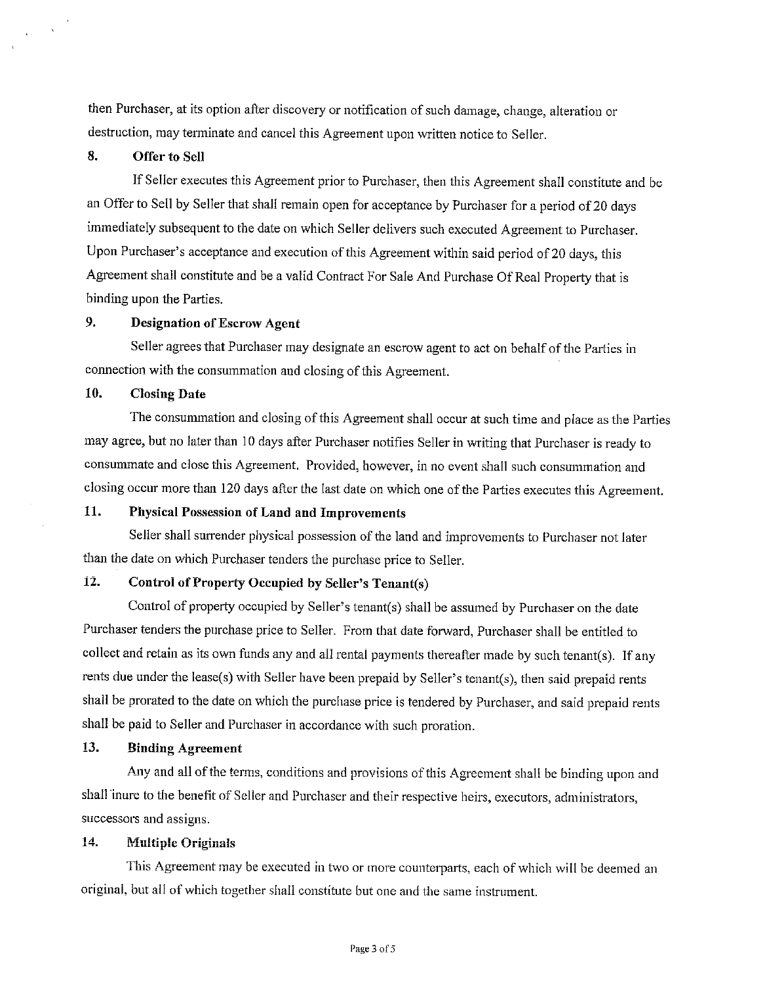then Purchaser, at its option after discovery or notification of such damage, change, alteration or destruction, may terminate and cancel this Agreement upon written notice to Seller.

#### 8. **Offer to Sell**

 $\sim$  $\mathbf{u}$ 

> If Seller executes this Agreement prior to Purchaser, then this Agreement shall constitute and be an Offer to Sell by Seller that shall remain open for acceptance by Purchaser for a period of 20 days immediately subsequent to the date on which Seller delivers such executed Agreement to Purchaser. Upon Purchaser's acceptance and execution of this Agreement within said period of 20 days, this Agreement shall constitute and be a valid Contract For Sale And Purchase Of Real Property that is binding upon the Parties.

#### 9. **Designation of Escrow Agent**

Seller agrees that Purchaser may designate an escrow agent to act on behalf of the Parties in connection with the consummation and closing of this Agreement.

#### $10.$ **Closing Date**

The consummation and closing of this Agreement shall occur at such time and place as the Parties may agree, but no later than 10 days after Purchaser notifies Seller in writing that Purchaser is ready to consummate and close this Agreement. Provided, however, in no event shall such consummation and closing occur more than 120 days after the last date on which one of the Parties executes this Agreement.

#### 11. Physical Possession of Land and Improvements

Seller shall surrender physical possession of the land and improvements to Purchaser not later than the date on which Purchaser tenders the purchase price to Seller.

#### $12.$ Control of Property Occupied by Seller's Tenant(s)

Control of property occupied by Seller's tenant(s) shall be assumed by Purchaser on the date Purchaser tenders the purchase price to Seller. From that date forward, Purchaser shall be entitled to collect and retain as its own funds any and all rental payments thereafter made by such tenant(s). If any rents due under the lease(s) with Seller have been prepaid by Seller's tenant(s), then said prepaid rents shall be prorated to the date on which the purchase price is tendered by Purchaser, and said prepaid rents shall be paid to Seller and Purchaser in accordance with such proration.

#### 13. **Binding Agreement**

Any and all of the terms, conditions and provisions of this Agreement shall be binding upon and shall inure to the benefit of Seller and Purchaser and their respective heirs, executors, administrators, successors and assigns.

#### $14.$ **Multiple Originals**

This Agreement may be executed in two or more counterparts, each of which will be deemed an original, but all of which together shall constitute but one and the same instrument.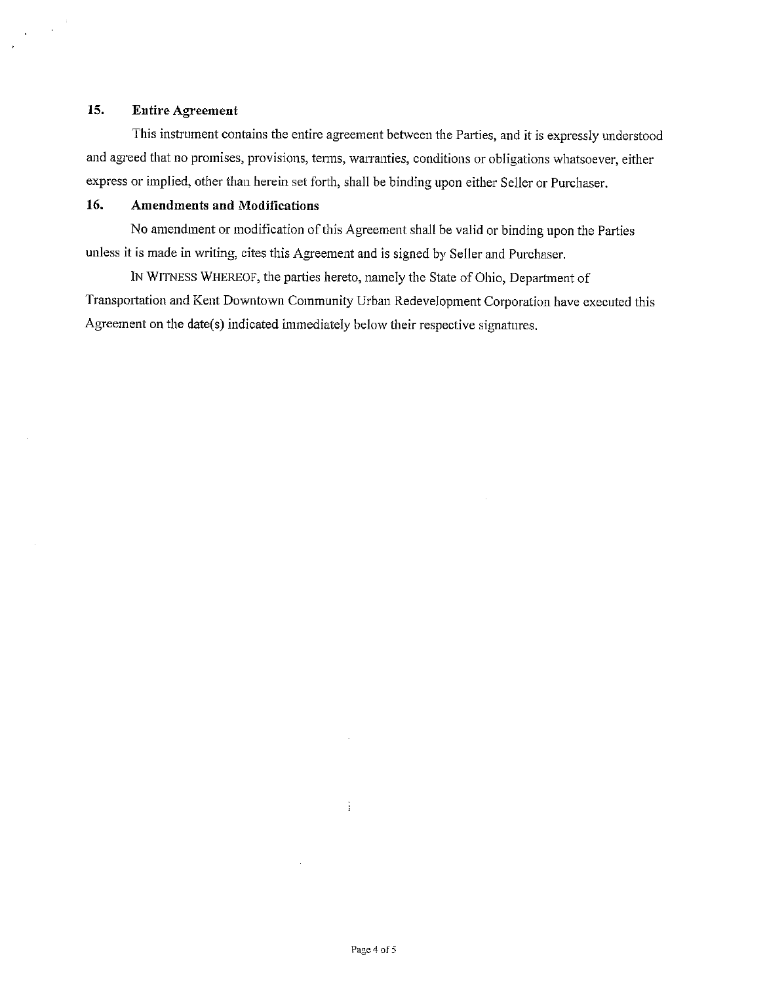#### 15. **Entire Agreement**

 $\sim$   $\sim$  $\Delta \phi$ 

 $\bar{\mathcal{A}}$ 

This instrument contains the entire agreement between the Parties, and it is expressly understood and agreed that no promises, provisions, terms, warranties, conditions or obligations whatsoever, either express or implied, other than herein set forth, shall be binding upon either Seller or Purchaser.

#### 16. **Amendments and Modifications**

No amendment or modification of this Agreement shall be valid or binding upon the Parties unless it is made in writing, cites this Agreement and is signed by Seller and Purchaser.

IN WITNESS WHEREOF, the parties hereto, namely the State of Ohio, Department of Transportation and Kent Downtown Community Urban Redevelopment Corporation have executed this Agreement on the date(s) indicated immediately below their respective signatures.

÷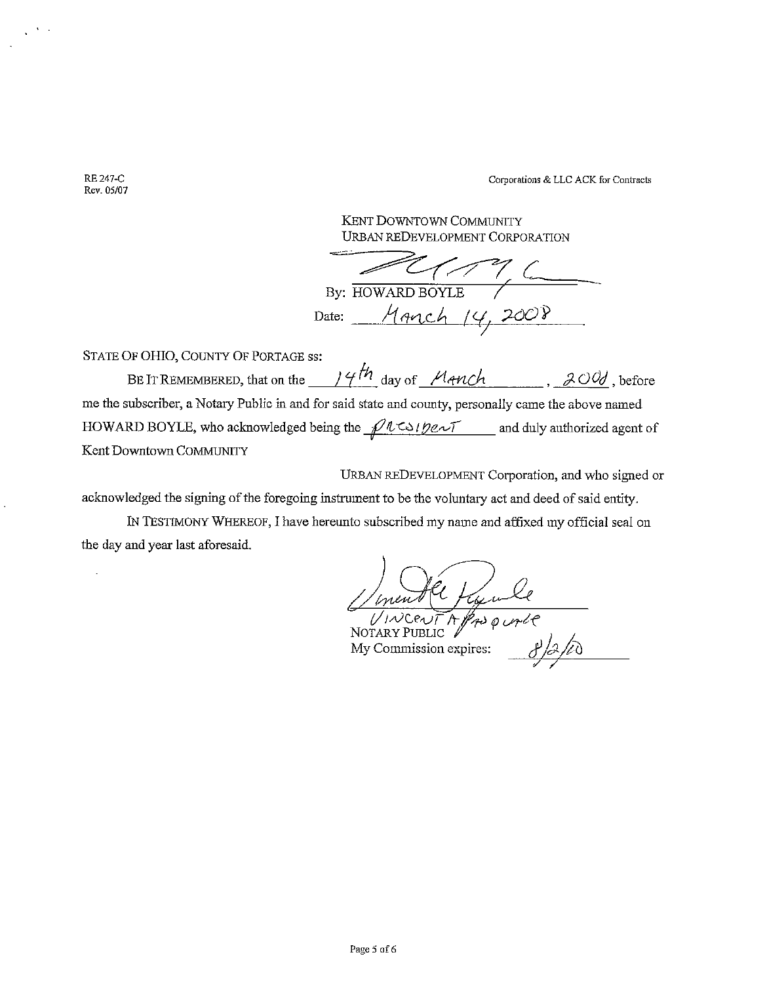Corporations & LLC ACK for Contracts

KENT DOWNTOWN COMMUNITY URBAN REDEVELOPMENT CORPORATION

 $By: HOWARD BoyLE$ يستصيب Date: Manch 14, 2008

STATE OF OHIO, COUNTY OF PORTAGE ss:

BE IT REMEMBERED, that on the  $14th$  day of Manch , 200, before me the subscriber, a Notary Public in and for said state and county, personally came the above named HOWARD BOYLE, who acknowledged being the  $pl$ Using  $m \sim$  and duly authorized agent of Kent Downtown COMMUNITY

URBAN REDEVELOPMENT Corporation, and who signed or

acknowledged the signing of the foregoing instrument to be the voluntary act and deed of said entity.

IN TESTIMONY WHEREOF, I have hereunto subscribed my name and affixed my official seal on the day and year last aforesaid.

Uneall figure

My Commission expires:

RE 247-C Rev. 05/07

 $\ddot{\phantom{a}}$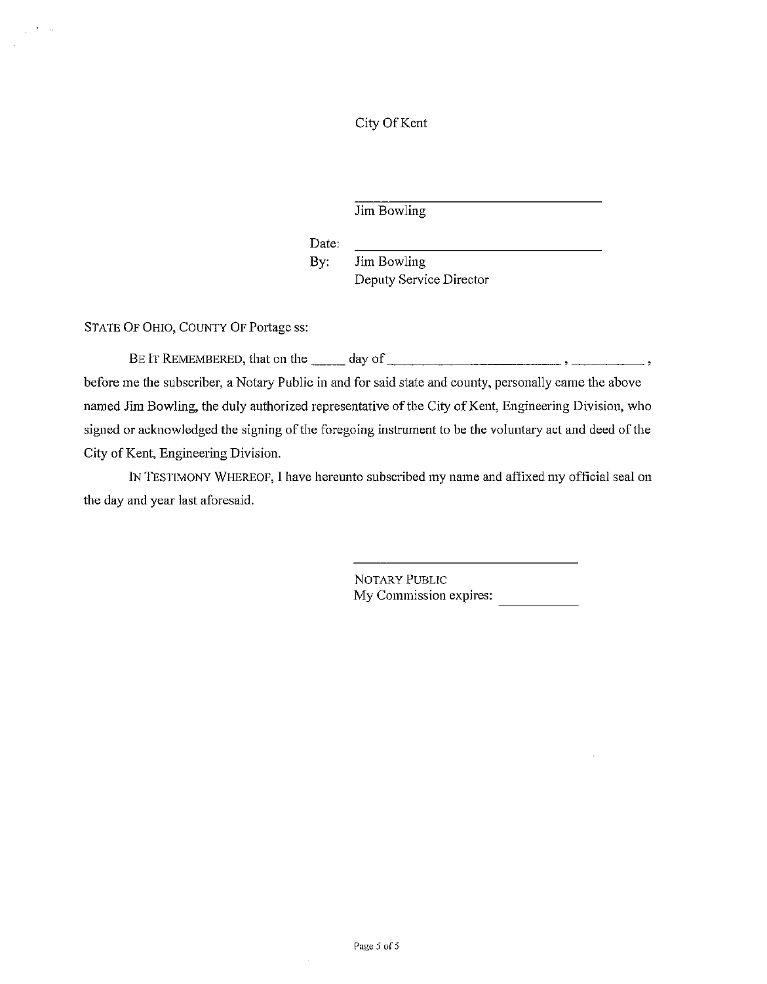City Of Kent

Jim Bowling

Date:

Jim Bowling By: Deputy Service Director

STATE OF OHIO, COUNTY OF Portage ss:

 $\mathbf{A}=\mathbf{A}$ 

before me the subscriber, a Notary Public in and for said state and county, personally came the above named Jim Bowling, the duly authorized representative of the City of Kent, Engineering Division, who signed or acknowledged the signing of the foregoing instrument to be the voluntary act and deed of the City of Kent, Engineering Division.

IN TESTIMONY WHEREOF, I have hereunto subscribed my name and affixed my official seal on the day and year last aforesaid.

> NOTARY PUBLIC My Commission expires: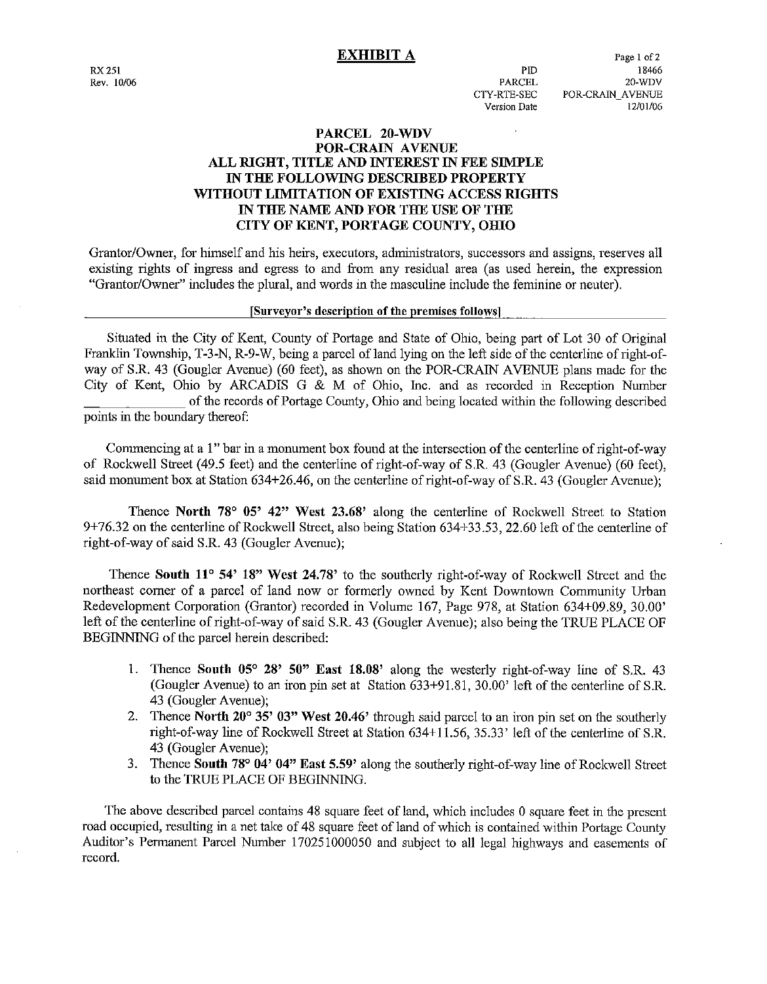$PTD$ 

PARCEL

CTY-RTE-SEC Version Date

## PARCEL 20-WDV POR-CRAIN AVENUE ALL RIGHT, TITLE AND INTEREST IN FEE SIMPLE IN THE FOLLOWING DESCRIBED PROPERTY WITHOUT LIMITATION OF EXISTING ACCESS RIGHTS IN THE NAME AND FOR THE USE OF THE CITY OF KENT, PORTAGE COUNTY, OHIO

Grantor/Owner, for himself and his heirs, executors, administrators, successors and assigns, reserves all existing rights of ingress and egress to and from any residual area (as used herein, the expression "Grantor/Owner" includes the plural, and words in the masculine include the feminine or neuter).

### [Surveyor's description of the premises follows]

Situated in the City of Kent, County of Portage and State of Ohio, being part of Lot 30 of Original Franklin Township, T-3-N, R-9-W, being a parcel of land lying on the left side of the centerline of right-ofway of S.R. 43 (Gougler Avenue) (60 feet), as shown on the POR-CRAIN AVENUE plans made for the City of Kent, Ohio by ARCADIS G & M of Ohio, Inc. and as recorded in Reception Number of the records of Portage County, Ohio and being located within the following described points in the boundary thereof:

Commencing at a 1" bar in a monument box found at the intersection of the centerline of right-of-way of Rockwell Street (49.5 feet) and the centerline of right-of-way of S.R. 43 (Gougler Avenue) (60 feet), said monument box at Station 634+26.46, on the centerline of right-of-way of S.R. 43 (Gougler Ayenue):

Thence North 78 $\degree$  05' 42" West 23.68' along the centerline of Rockwell Street to Station 9+76.32 on the centerline of Rockwell Street, also being Station 634+33.53, 22.60 left of the centerline of right-of-way of said S.R. 43 (Gougler Avenue);

Thence South 11° 54' 18" West 24.78' to the southerly right-of-way of Rockwell Street and the northeast corner of a parcel of land now or formerly owned by Kent Downtown Community Urban Redevelopment Corporation (Grantor) recorded in Volume 167, Page 978, at Station 634+09.89, 30.00' left of the centerline of right-of-way of said S.R. 43 (Gougler Avenue); also being the TRUE PLACE OF BEGINNING of the parcel herein described:

- 1. Thence South 05° 28' 50" East 18.08' along the westerly right-of-way line of S.R. 43 (Gougler Avenue) to an iron pin set at Station 633+91.81, 30.00' left of the centerline of S.R. 43 (Gougler Avenue);
- 2. Thence North 20° 35' 03" West 20.46' through said parcel to an iron pin set on the southerly right-of-way line of Rockwell Street at Station 634+11.56, 35.33' left of the centerline of S.R. 43 (Gougler Avenue):
- 3. Thence South 78° 04' 04" East 5.59' along the southerly right-of-way line of Rockwell Street to the TRUE PLACE OF BEGINNING.

The above described parcel contains 48 square feet of land, which includes 0 square feet in the present road occupied, resulting in a net take of 48 square feet of land of which is contained within Portage County Auditor's Permanent Parcel Number 170251000050 and subject to all legal highways and easements of record.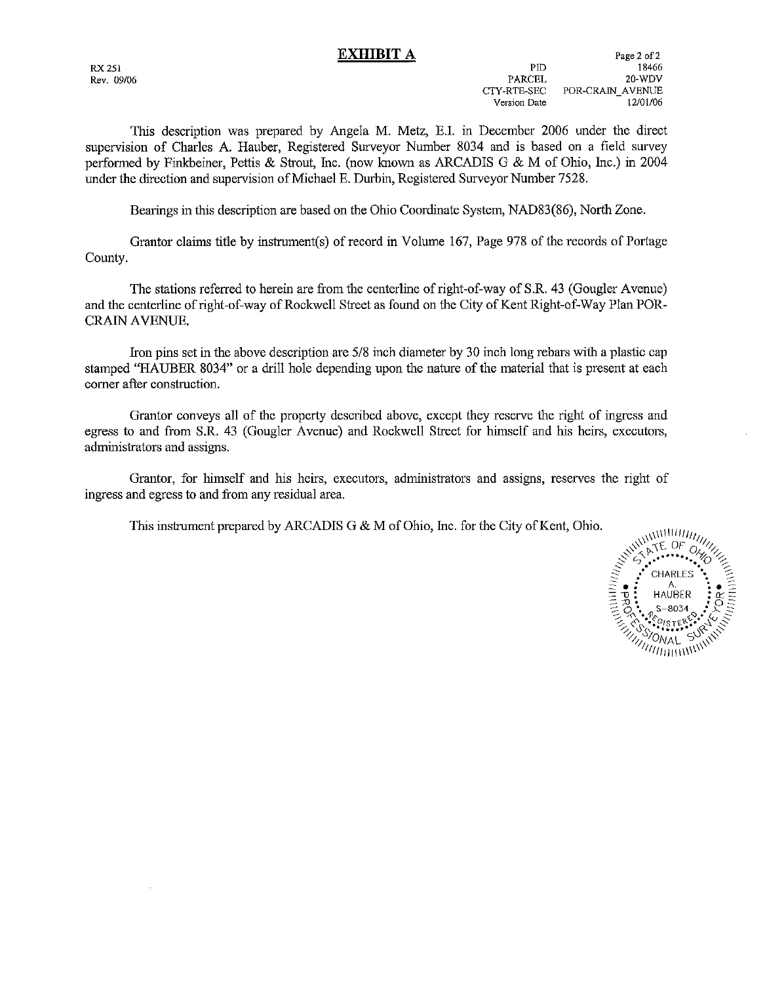**RX 251** Rev. 09/06

This description was prepared by Angela M, Metz, E.I. in December 2006 under the direct supervision of Charles A. Hauber, Registered Surveyor Number 8034 and is based on a field survey performed by Finkbeiner, Pettis & Strout, Inc. (now known as ARCADIS G & M of Ohio, Inc.) in 2004 under the direction and supervision of Michael E. Durbin, Registered Surveyor Number 7528.

Bearings in this description are based on the Ohio Coordinate System, NAD83(86), North Zone.

Grantor claims title by instrument(s) of record in Volume 167, Page 978 of the records of Portage County.

The stations referred to herein are from the centerline of right-of-way of S.R. 43 (Gougler Avenue) and the centerline of right-of-way of Rockwell Street as found on the City of Kent Right-of-Way Plan POR-**CRAIN AVENUE.** 

Iron pins set in the above description are 5/8 inch diameter by 30 inch long rebars with a plastic cap stamped "HAUBER 8034" or a drill hole depending upon the nature of the material that is present at each corner after construction.

Grantor conveys all of the property described above, except they reserve the right of ingress and egress to and from S.R. 43 (Gougler Avenue) and Rockwell Street for himself and his heirs, executors, administrators and assigns.

Grantor, for himself and his heirs, executors, administrators and assigns, reserves the right of ingress and egress to and from any residual area.

This instrument prepared by ARCADIS G & M of Ohio, Inc. for the City of Kent, Ohio.

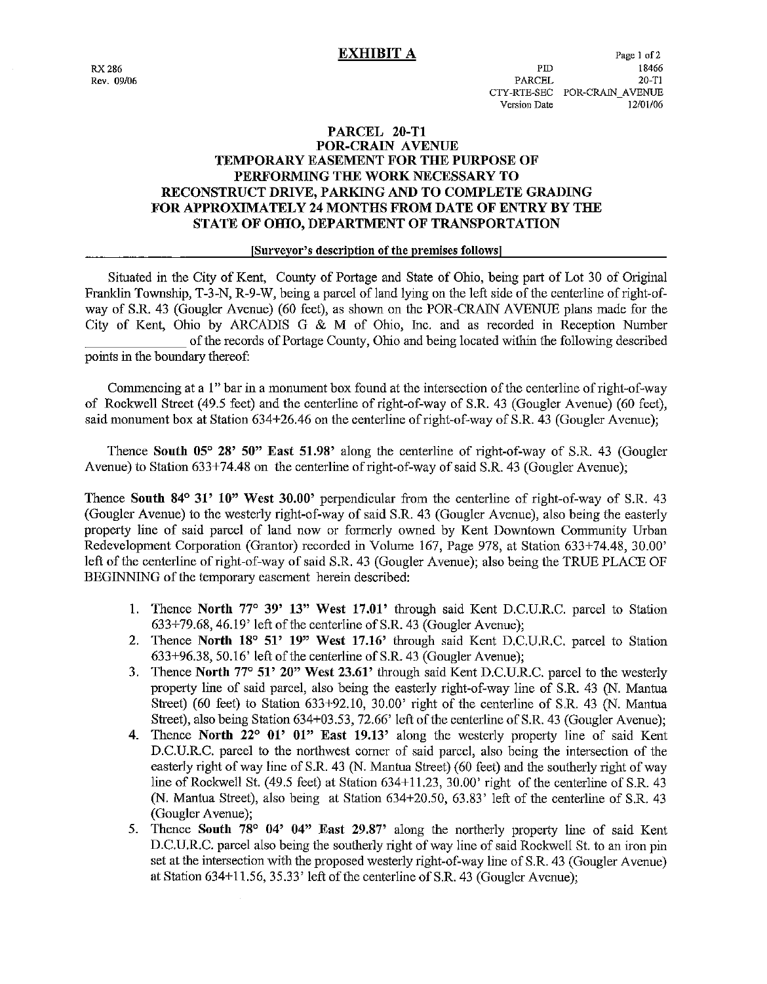## PARCEL 20-T1 **POR-CRAIN AVENUE TEMPORARY EASEMENT FOR THE PURPOSE OF** PERFORMING THE WORK NECESSARY TO RECONSTRUCT DRIVE, PARKING AND TO COMPLETE GRADING **FOR APPROXIMATELY 24 MONTHS FROM DATE OF ENTRY BY THE** STATE OF OHIO, DEPARTMENT OF TRANSPORTATION

### [Surveyor's description of the premises follows]

Situated in the City of Kent, County of Portage and State of Ohio, being part of Lot 30 of Original Franklin Township, T-3-N, R-9-W, being a parcel of land lying on the left side of the centerline of right-ofway of S.R. 43 (Gougler Avenue) (60 feet), as shown on the POR-CRAIN AVENUE plans made for the City of Kent, Ohio by ARCADIS G & M of Ohio, Inc. and as recorded in Reception Number of the records of Portage County, Ohio and being located within the following described points in the boundary thereof:

Commencing at a 1" bar in a monument box found at the intersection of the centerline of right-of-way of Rockwell Street (49.5 feet) and the centerline of right-of-way of S.R. 43 (Gougler Avenue) (60 feet), said monument box at Station 634+26.46 on the centerline of right-of-way of S.R. 43 (Gougler Avenue):

Thence South 05° 28' 50" East 51.98' along the centerline of right-of-way of S.R. 43 (Gougler Avenue) to Station 633+74.48 on the centerline of right-of-way of said S.R. 43 (Gougler Avenue);

Thence South 84° 31' 10" West 30.00" perpendicular from the centerline of right-of-way of S.R. 43 (Gougler Avenue) to the westerly right-of-way of said S.R. 43 (Gougler Avenue), also being the easterly property line of said parcel of land now or formerly owned by Kent Downtown Community Urban Redevelopment Corporation (Grantor) recorded in Volume 167, Page 978, at Station 633+74.48, 30.00' left of the centerline of right-of-way of said S.R. 43 (Gougler Avenue); also being the TRUE PLACE OF BEGINNING of the temporary easement herein described:

- 1. Thence North 77° 39' 13" West 17.01' through said Kent D.C.U.R.C. parcel to Station  $633+79.68$ , 46.19' left of the centerline of S.R. 43 (Gougler Avenue);
- 2. Thence North 18° 51' 19" West 17.16' through said Kent D.C.U.R.C. parcel to Station 633+96.38, 50.16' left of the centerline of S.R. 43 (Gougler Avenue):
- 3. Thence North 77° 51' 20" West 23.61' through said Kent D.C.U.R.C. parcel to the westerly property line of said parcel, also being the easterly right-of-way line of S.R. 43 (N. Mantua Street) (60 feet) to Station 633+92.10, 30.00' right of the centerline of S.R. 43 (N. Mantua Street), also being Station 634+03.53, 72.66' left of the centerline of S.R. 43 (Gougler Avenue);
- 4. Thence North 22° 01' 01" East 19.13' along the westerly property line of said Kent D.C.U.R.C. parcel to the northwest corner of said parcel, also being the intersection of the easterly right of way line of S.R. 43 (N. Mantua Street) (60 feet) and the southerly right of way line of Rockwell St. (49.5 feet) at Station 634+11.23, 30.00' right of the centerline of S.R. 43 (N. Mantua Street), also being at Station 634+20.50, 63.83' left of the centerline of S.R. 43 (Gougler Avenue);
- 5. Thence South 78° 04' 04" East 29.87' along the northerly property line of said Kent D.C.U.R.C. parcel also being the southerly right of way line of said Rockwell St. to an iron pin set at the intersection with the proposed westerly right-of-way line of S.R. 43 (Gougler Avenue) at Station 634+11.56, 35.33' left of the centerline of S.R. 43 (Gougler Avenue);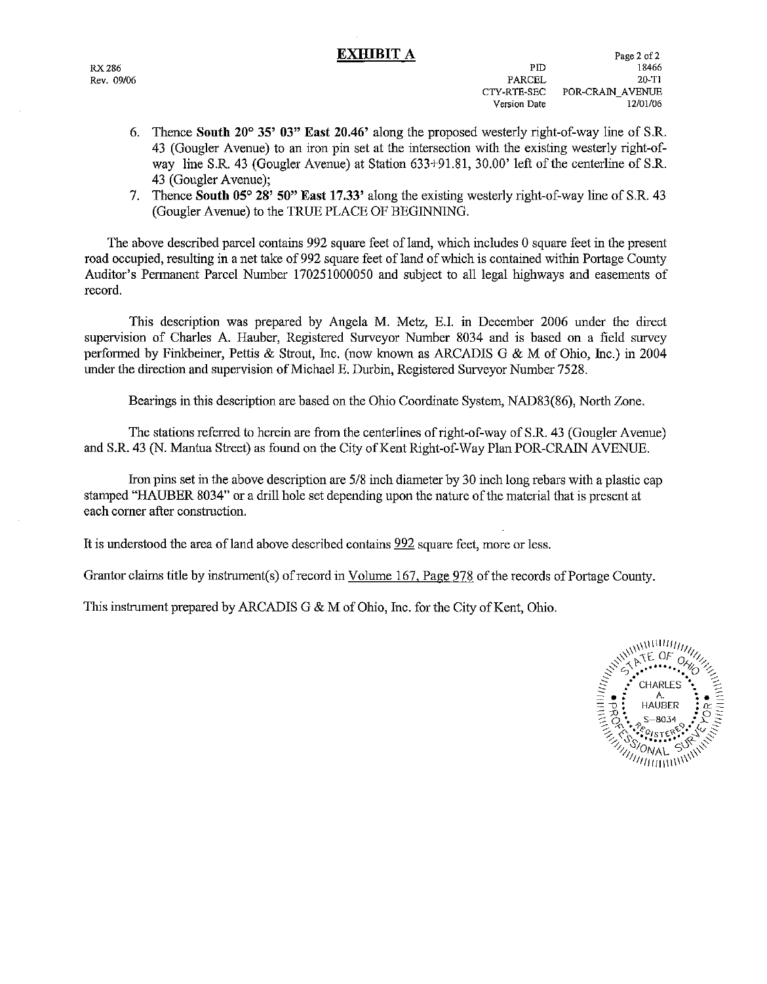**RX 286** Rev. 09/06

- 6. Thence South 20° 35' 03" East 20.46' along the proposed westerly right-of-way line of S.R. 43 (Gougler Avenue) to an iron pin set at the intersection with the existing westerly right-ofway line S.R. 43 (Gougler Avenue) at Station 633+91.81, 30.00' left of the centerline of S.R. 43 (Gougler Avenue):
- 7. Thence South 05° 28' 50" East 17.33' along the existing westerly right-of-way line of S.R. 43 (Gougler Avenue) to the TRUE PLACE OF BEGINNING.

The above described parcel contains 992 square feet of land, which includes 0 square feet in the present road occupied, resulting in a net take of 992 square feet of land of which is contained within Portage County Auditor's Permanent Parcel Number 170251000050 and subject to all legal highways and easements of record.

This description was prepared by Angela M. Metz, E.I. in December 2006 under the direct supervision of Charles A. Hauber, Registered Surveyor Number 8034 and is based on a field survey performed by Finkbeiner, Pettis & Strout, Inc. (now known as ARCADIS G & M of Ohio, Inc.) in 2004 under the direction and supervision of Michael E. Durbin, Registered Surveyor Number 7528.

Bearings in this description are based on the Ohio Coordinate System, NAD83(86). North Zone.

The stations referred to herein are from the centerlines of right-of-way of S.R. 43 (Gougler Avenue) and S.R. 43 (N. Mantua Street) as found on the City of Kent Right-of-Way Plan POR-CRAIN AVENUE.

Iron pins set in the above description are 5/8 inch diameter by 30 inch long rebars with a plastic cap stamped "HAUBER 8034" or a drill hole set depending upon the nature of the material that is present at each corner after construction.

It is understood the area of land above described contains 992 square feet, more or less.

Grantor claims title by instrument(s) of record in Volume 167, Page 978 of the records of Portage County.

This instrument prepared by ARCADIS G & M of Ohio, Inc. for the City of Kent, Ohio.

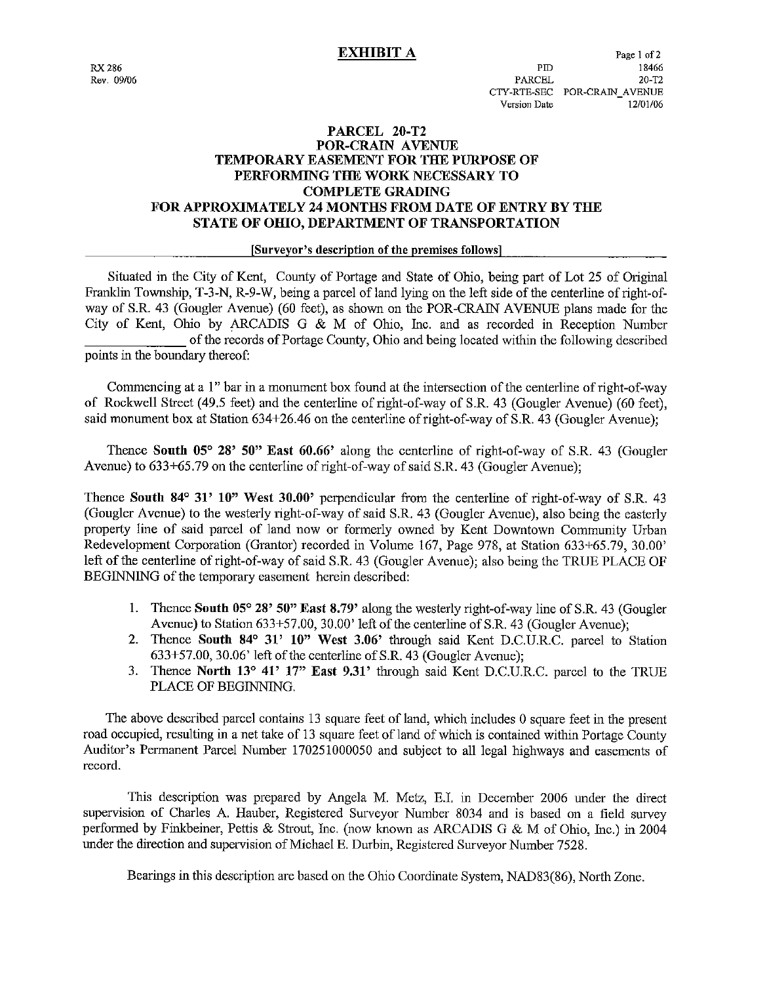## PARCEL 20-T2 POR-CRAIN AVENUE **TEMPORARY EASEMENT FOR THE PURPOSE OF** PERFORMING THE WORK NECESSARY TO **COMPLETE GRADING FOR APPROXIMATELY 24 MONTHS FROM DATE OF ENTRY BY THE** STATE OF OHIO, DEPARTMENT OF TRANSPORTATION

### [Surveyor's description of the premises follows]

Situated in the City of Kent, County of Portage and State of Ohio, being part of Lot 25 of Original Franklin Township, T-3-N, R-9-W, being a parcel of land lying on the left side of the centerline of right-ofway of S.R. 43 (Gougler Avenue) (60 feet), as shown on the POR-CRAIN AVENUE plans made for the City of Kent, Ohio by ARCADIS G & M of Ohio, Inc. and as recorded in Reception Number of the records of Portage County, Ohio and being located within the following described points in the boundary thereof:

Commencing at a 1" bar in a monument box found at the intersection of the centerline of right-of-way of Rockwell Street (49.5 feet) and the centerline of right-of-way of S.R. 43 (Gougler Avenue) (60 feet). said monument box at Station 634+26.46 on the centerline of right-of-way of S.R. 43 (Gougler Ayenue);

Thence South 05° 28' 50" East 60.66' along the centerline of right-of-way of S.R. 43 (Gougler Avenue) to 633+65.79 on the centerline of right-of-way of said S.R. 43 (Gougler Avenue);

Thence South 84° 31' 10" West 30.00' perpendicular from the centerline of right-of-way of S.R. 43 (Gougler Avenue) to the westerly right-of-way of said S.R. 43 (Gougler Avenue), also being the easterly property line of said parcel of land now or formerly owned by Kent Downtown Community Urban Redevelopment Corporation (Grantor) recorded in Volume 167, Page 978, at Station 633+65.79, 30.00' left of the centerline of right-of-way of said S.R. 43 (Gougler Avenue); also being the TRUE PLACE OF BEGINNING of the temporary easement herein described:

- 1. Thence South 05° 28' 50" East 8.79' along the westerly right-of-way line of S.R. 43 (Gougler Avenue) to Station 633+57.00, 30.00' left of the centerline of S.R. 43 (Gougler Avenue);
- 2. Thence South 84° 31' 10" West 3.06' through said Kent D.C.U.R.C. parcel to Station 633+57.00, 30.06' left of the centerline of S.R. 43 (Gougler Avenue):
- Thence North 13° 41' 17" East 9.31' through said Kent D.C.U.R.C. parcel to the TRUE  $3.$ PLACE OF BEGINNING.

The above described parcel contains 13 square feet of land, which includes 0 square feet in the present road occupied, resulting in a net take of 13 square feet of land of which is contained within Portage County Auditor's Permanent Parcel Number 170251000050 and subject to all legal highways and easements of record.

This description was prepared by Angela M. Metz, E.I. in December 2006 under the direct supervision of Charles A. Hauber, Registered Surveyor Number 8034 and is based on a field survey performed by Finkbeiner, Pettis & Strout, Inc. (now known as ARCADIS G & M of Ohio, Inc.) in 2004 under the direction and supervision of Michael E. Durbin, Registered Surveyor Number 7528.

Bearings in this description are based on the Ohio Coordinate System, NAD83(86), North Zone.